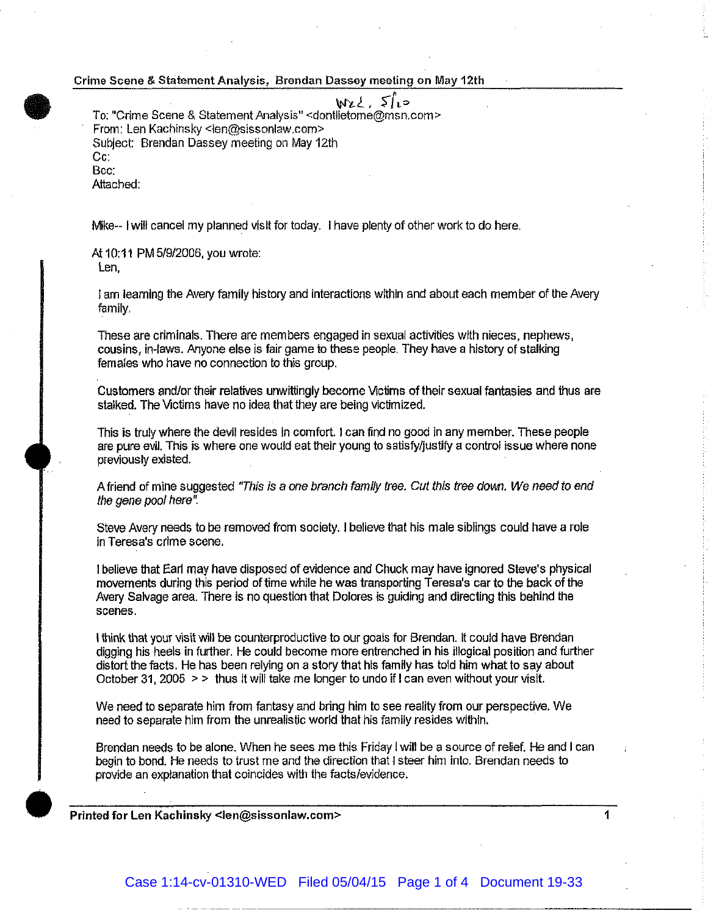## **•** Crime Scene & Statement Analysis, Brendan Dassey meeting on May 12th

حیا کے باری است To: "Crime Scene & Statement Analysis" <dontlietome@msn.com> From: Len Kachinsky <len@sissonlaw.com> Subject: Brendan Dassey meeting on May 12th Cc: Bee:

Attached:

Mike-- I will cancel my planned visit for today. I have plenty of other work to do here.

At 10:11 PM 5/9/2006, you wrote: Len,

I am learning the Avery family history and interactions within and about each member of the Avery family.

These are criminals. There are members engaged in sexual activities with nieces, nephews, cousins, in-laws. Anyone else is fair game to these people. They have a history of stalking females who have no connection to this group.

Customers and/or their relatives unwittingly become Victims of their sexual fantasies and thus are stalked. The Victims have no idea that they are being victimized.

This is truly where the devil resides in comfort. I can find no good in any member. These people are pure evil. This is where one would eat their young to satisty/justity a control issue where none previously existed.

A friend of mine suggested "This Is a one branch family tree. Cut this tree down. We need to end the gene pool here".

Steve Avery needs to be removed from society. I believe that his male siblings could have a role in Teresa's crime scene.

I believe that Earl *may* have disposed of evidence and Chuck may have ignored Steve's physical movements during this period of time while he was transporting Teresa's car to the back of the Avery Salvage area. There is no question that Dolores is guiding and directing this behind the scenes.

I think that your visit will be counterproductive to our goals for Brendan. It could have Brendan digging his heels in further. He could become more entrenched in his illogical position and further distort the facts. He has been relying on a story that his family has told him what to say about October 31, 2005 > > thus It will take me longer to undo if I can even without your visit.

We need to separate him from fantasy and bring him to see reality from our perspective. We need to separate him from the unrealistic world that his family resides within.

Brendan needs to be alone. When he sees me this Friday I will be a source of relief. He and I can begin to bond. He needs to trust me and the direction that I steer him into. Brendan needs to provide an explanation that coincides with the facts/evidence.

Printed for Len Kachinsky <len@sissonlaw.com> 1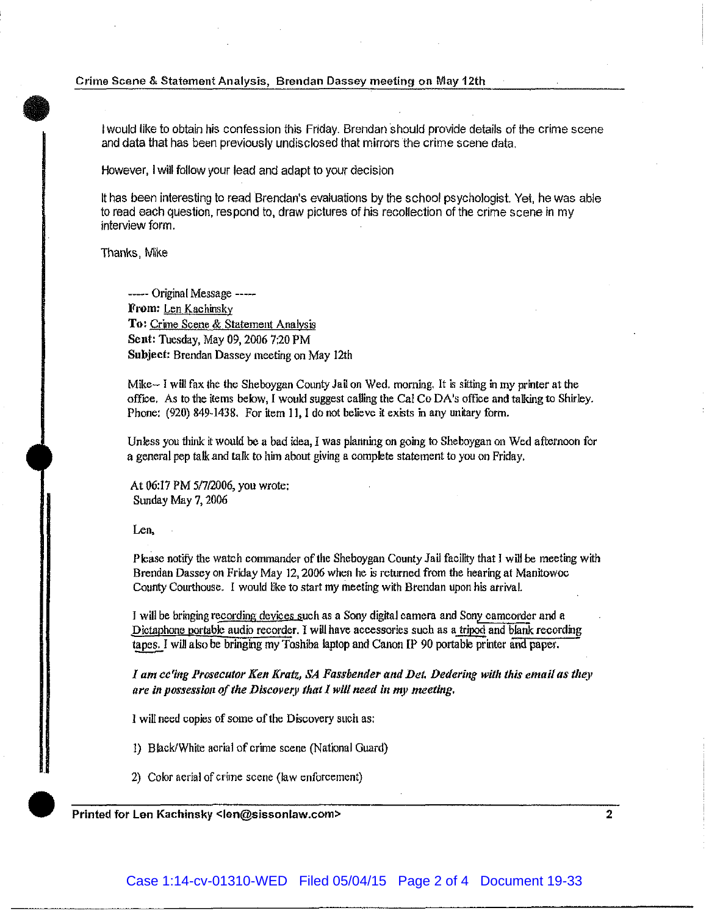## **•**<br>• Crime Scene & Statement Analysis, Brendan Dassey meeting on May 12th

I would like to obtain his confession this Friday. Brendan should provide details of the crime scene and data that has been previously undisclosed that mirrors the crime scene data.

However, I will follow your lead and adapt to your decision

It has been interesting to read Brendan's evaluations by the school psychologist. Yet, he was able to read each question, respond to, draw pictures of his recollection of the crime scene in my interview form.

Thanks, Mike

----- Original Message -----From: Len Kachinsky To: Crime Scene & Statement Analysis Sent: Tuesday, May 09, 2006 7:20PM Subject: Brendan Dassey meeting on May 12th

Mike- I will fax the the Sheboygan County Jail on Wed. morning. It is sitting in my printer at the office. As to the items below, I would suggest calling the Cal CoDA's office and talking to Shirley. Phone: (920) 849-1438. For item 11, I do not believe it exists in any unitary form.

Unless you think it would be a bad idea, I was planning on going to Sheboygan on Wed afternoon for a general pep talk and talk to him about giving a complete statement to you on Friday.

At 06:17 PM 5/7/2006, you wrote; Sunday May 7, 2006

Len,

Please notify the watch commander of the Sheboygan County Jail facility that I will be meeting with Brendan Dassey on Friday May 12, 2006 when he *is* returned from the hearing at Manitowoc County Courthouse. I would like to start my meeting with Brendan upon his arrival.

I will be bringing recording devices such as a Sony digttal camera and Sony camcorder and a Dictaphone portable audio recorder. I will have accessories such as a tripod and blank recording tapes. I will also be bringing my Toshiba laptop and Canon [p 90 portable printer and paper.

*I am cc'ing Prosecutor Ken Kratz, SA Fassbender atld Del. Dedering with this email as tltey*  are in possession of the Discovery that I will need in my meeting.

l will need copies of some of the Discovery such as;

1) Black/White aerial of crime scene (National Guard)

2) Color aerial of crime scene (law enforcement)

Printed for Len Kachinsky <len@sissonlaw.com> 2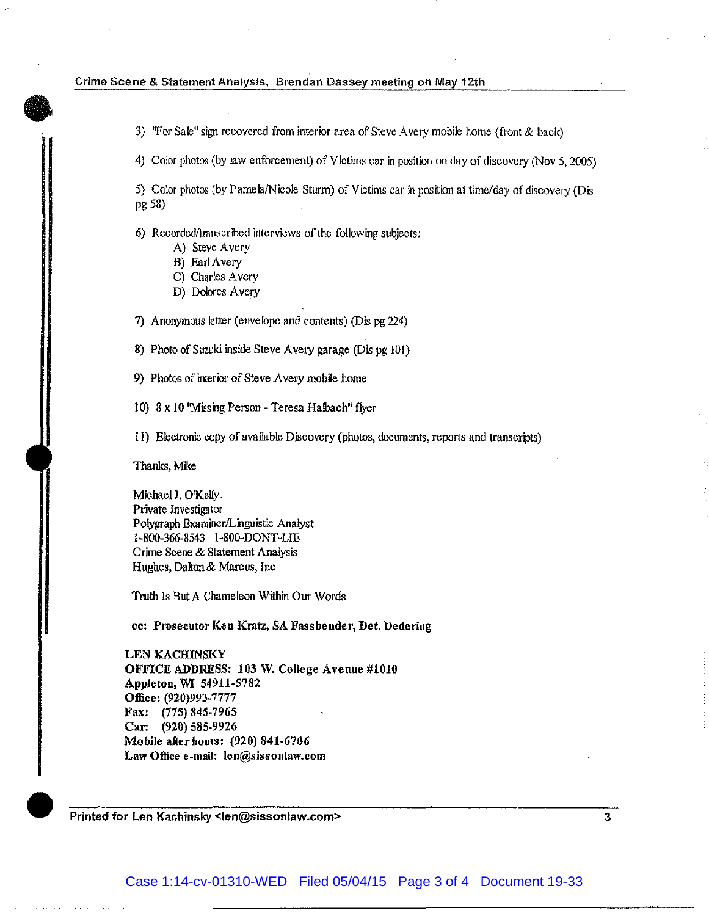## **•**<br>| Crime Scene & Statement Analysis, Brendan Oassey meeting on May 12th

3) "For Sale" sign recovered from interior area of Steve Avery mobile horne (front & back)

4) Color photos (by law enforcement) of Victims car in position on day of discovery (Nov 5, 2005)

5) Color photos (by Pamela/Nicole Sturm) of Victims car in posttion at time/day of discovery (Dis pg 58)

6) Recorded/transcribed interviews of the following subjects;

- A) Steve A very
- B) Earl A very
- C) Charles Avery
- D) Dolores Avery

7) Anonymous letter (envelope and contents) (Dis pg 224)

8) Photo of Suzuki inside Steve Avery garage (Dis pg 101)

9) Photos of interior of Steve Avery mobile home

I 0) 8 x 10 'Missing Person - Teresa Halbach" flyer

II) Electronic copy of available Discovery (photos, documents, reports and transcripts)

Thanks, Mike

Michael J. O'Kelly Private Investigator Polygraph Examiner/Linguistic Analyst l-800-366-8543 1-800-DONT-LIE Crime Scene & Statement Analysis Hughes, Dalton & Marcus, Inc

Truth Is But A Chameleon Within Our Words

cc: Prosecutor Ken Kratz, SA Fassbender, Det. Dedering

LEN KACHINSKY OFFICE ADDRESS: 103 W. College Avenue #1010 Appleton, WI 54911-5782 Office: (920)993-7777 Fax: (775) 845-7965 Car: (920) 585-9926 Mobile after hours: (920) 841-6706 Law Office e-mail: len@sissonlaw.com

 $\bullet$ Printed for Len Kachinsky <len@sissonlaw.com> 3